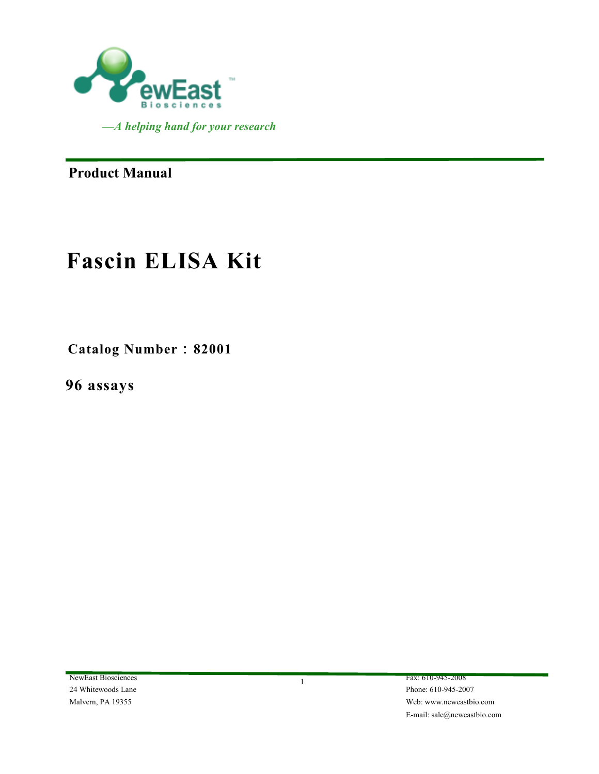

**Product Manual** 

# **Fascin ELISA Kit**

**Catalog Number**:**82001** 

**96 assays**

NewEast Biosciences Fax: 610-945-2008 24 Whitewoods Lane Phone: 610-945-2007

Malvern, PA 19355 Web: www.neweastbio.com E-mail: sale@neweastbio.com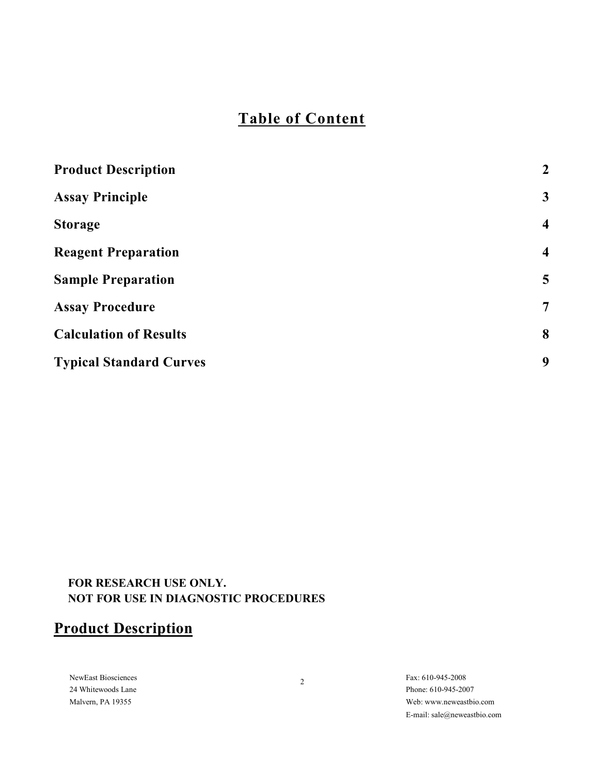# **Table of Content**

| <b>Product Description</b>     | $\overline{2}$          |
|--------------------------------|-------------------------|
| <b>Assay Principle</b>         | $\mathbf{3}$            |
| <b>Storage</b>                 | $\overline{\mathbf{4}}$ |
| <b>Reagent Preparation</b>     | $\overline{\mathbf{4}}$ |
| <b>Sample Preparation</b>      | 5                       |
| <b>Assay Procedure</b>         | 7                       |
| <b>Calculation of Results</b>  | 8                       |
| <b>Typical Standard Curves</b> | 9                       |
|                                |                         |

### **FOR RESEARCH USE ONLY. NOT FOR USE IN DIAGNOSTIC PROCEDURES**

# **Product Description**

NewEast Biosciences Fax: 610-945-2008 Fax: 610-945-2008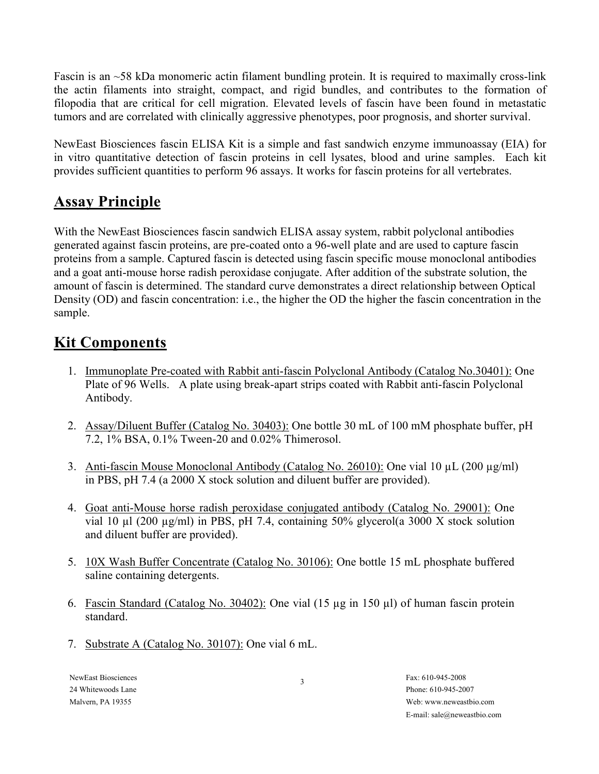Fascin is an ~58 kDa monomeric actin filament bundling protein. It is required to maximally cross-link the actin filaments into straight, compact, and rigid bundles, and contributes to the formation of filopodia that are critical for cell migration. Elevated levels of fascin have been found in metastatic tumors and are correlated with clinically aggressive phenotypes, poor prognosis, and shorter survival.

NewEast Biosciences fascin ELISA Kit is a simple and fast sandwich enzyme immunoassay (EIA) for in vitro quantitative detection of fascin proteins in cell lysates, blood and urine samples. Each kit provides sufficient quantities to perform 96 assays. It works for fascin proteins for all vertebrates.

# **Assay Principle**

With the NewEast Biosciences fascin sandwich ELISA assay system, rabbit polyclonal antibodies generated against fascin proteins, are pre-coated onto a 96-well plate and are used to capture fascin proteins from a sample. Captured fascin is detected using fascin specific mouse monoclonal antibodies and a goat anti-mouse horse radish peroxidase conjugate. After addition of the substrate solution, the amount of fascin is determined. The standard curve demonstrates a direct relationship between Optical Density (OD) and fascin concentration: i.e., the higher the OD the higher the fascin concentration in the sample.

# **Kit Components**

- 1. Immunoplate Pre-coated with Rabbit anti-fascin Polyclonal Antibody (Catalog No.30401): One Plate of 96 Wells. A plate using break-apart strips coated with Rabbit anti-fascin Polyclonal Antibody.
- 2. Assay/Diluent Buffer (Catalog No. 30403): One bottle 30 mL of 100 mM phosphate buffer, pH 7.2, 1% BSA, 0.1% Tween-20 and 0.02% Thimerosol.
- 3. Anti-fascin Mouse Monoclonal Antibody (Catalog No. 26010): One vial 10  $\mu$ L (200  $\mu$ g/ml) in PBS, pH 7.4 (a 2000 X stock solution and diluent buffer are provided).
- 4. Goat anti-Mouse horse radish peroxidase conjugated antibody (Catalog No. 29001): One vial 10 µl (200 µg/ml) in PBS, pH 7.4, containing 50% glycerol(a 3000 X stock solution and diluent buffer are provided).
- 5. 10X Wash Buffer Concentrate (Catalog No. 30106): One bottle 15 mL phosphate buffered saline containing detergents.
- 6. Fascin Standard (Catalog No. 30402): One vial (15 µg in 150 µl) of human fascin protein standard.
- 7. Substrate A (Catalog No. 30107): One vial 6 mL.

NewFast Biosciences Fax: 610-945-2008 24 Whitewoods Lane Phone: 610-945-2007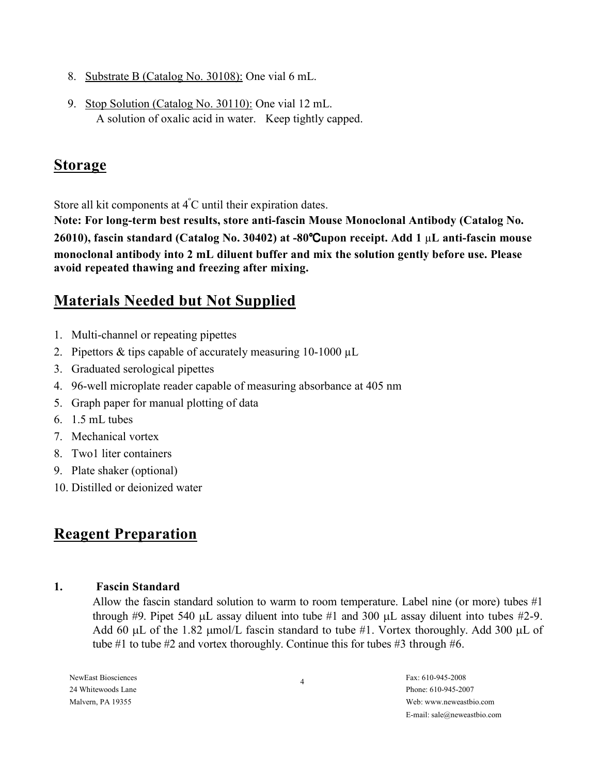- 8. Substrate B (Catalog No. 30108): One vial 6 mL.
- 9. Stop Solution (Catalog No. 30110): One vial 12 mL. A solution of oxalic acid in water. Keep tightly capped.

### **Storage**

Store all kit components at  $\mathbf{4}^{\circ}\mathbf{C}$  until their expiration dates.

**Note: For long-term best results, store anti-fascin Mouse Monoclonal Antibody (Catalog No. 26010), fascin standard (Catalog No. 30402) at -80**℃**upon receipt. Add 1** µ**L anti-fascin mouse monoclonal antibody into 2 mL diluent buffer and mix the solution gently before use. Please avoid repeated thawing and freezing after mixing.** 

# **Materials Needed but Not Supplied**

- 1. Multi-channel or repeating pipettes
- 2. Pipettors  $&$  tips capable of accurately measuring 10-1000  $\mu$ L
- 3. Graduated serological pipettes
- 4. 96-well microplate reader capable of measuring absorbance at 405 nm
- 5. Graph paper for manual plotting of data
- 6. 1.5 mL tubes
- 7. Mechanical vortex
- 8. Two1 liter containers
- 9. Plate shaker (optional)
- 10. Distilled or deionized water

# **Reagent Preparation**

### **1. Fascin Standard**

Allow the fascin standard solution to warm to room temperature. Label nine (or more) tubes #1 through #9. Pipet 540  $\mu$ L assay diluent into tube #1 and 300  $\mu$ L assay diluent into tubes #2-9. Add 60  $\mu$ L of the 1.82  $\mu$ mol/L fascin standard to tube #1. Vortex thoroughly. Add 300  $\mu$ L of tube #1 to tube #2 and vortex thoroughly. Continue this for tubes #3 through #6.

NewFast Biosciences Fax: 610-945-2008 24 Whitewoods Lane Phone: 610-945-2007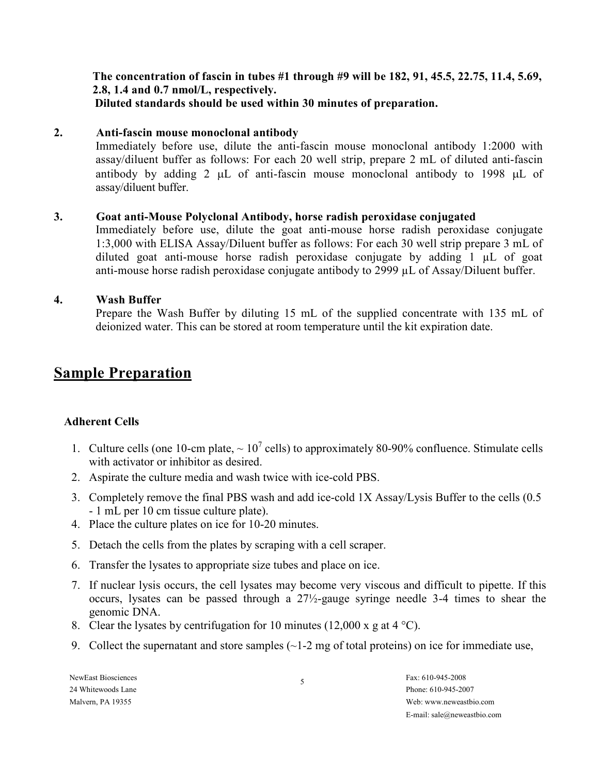**The concentration of fascin in tubes #1 through #9 will be 182, 91, 45.5, 22.75, 11.4, 5.69, 2.8, 1.4 and 0.7 nmol/L, respectively. Diluted standards should be used within 30 minutes of preparation.** 

#### **2. Anti-fascin mouse monoclonal antibody**

Immediately before use, dilute the anti-fascin mouse monoclonal antibody 1:2000 with assay/diluent buffer as follows: For each 20 well strip, prepare 2 mL of diluted anti-fascin antibody by adding 2 µL of anti-fascin mouse monoclonal antibody to 1998 µL of assay/diluent buffer.

#### **3. Goat anti-Mouse Polyclonal Antibody, horse radish peroxidase conjugated**

Immediately before use, dilute the goat anti-mouse horse radish peroxidase conjugate 1:3,000 with ELISA Assay/Diluent buffer as follows: For each 30 well strip prepare 3 mL of diluted goat anti-mouse horse radish peroxidase conjugate by adding 1 µL of goat anti-mouse horse radish peroxidase conjugate antibody to 2999 µL of Assay/Diluent buffer.

### **4. Wash Buffer**

Prepare the Wash Buffer by diluting 15 mL of the supplied concentrate with 135 mL of deionized water. This can be stored at room temperature until the kit expiration date.

### **Sample Preparation**

### **Adherent Cells**

- 1. Culture cells (one 10-cm plate,  $\sim 10^7$  cells) to approximately 80-90% confluence. Stimulate cells with activator or inhibitor as desired.
- 2. Aspirate the culture media and wash twice with ice-cold PBS.
- 3. Completely remove the final PBS wash and add ice-cold 1X Assay/Lysis Buffer to the cells (0.5 - 1 mL per 10 cm tissue culture plate).
- 4. Place the culture plates on ice for 10-20 minutes.
- 5. Detach the cells from the plates by scraping with a cell scraper.
- 6. Transfer the lysates to appropriate size tubes and place on ice.
- 7. If nuclear lysis occurs, the cell lysates may become very viscous and difficult to pipette. If this occurs, lysates can be passed through a 27½-gauge syringe needle 3-4 times to shear the genomic DNA.
- 8. Clear the lysates by centrifugation for 10 minutes (12,000 x g at 4  $^{\circ}$ C).
- 9. Collect the supernatant and store samples  $\left(\sim\right]$  -2 mg of total proteins) on ice for immediate use,

NewFast Biosciences Fax: 610-945-2008 24 Whitewoods Lane Phone: 610-945-2007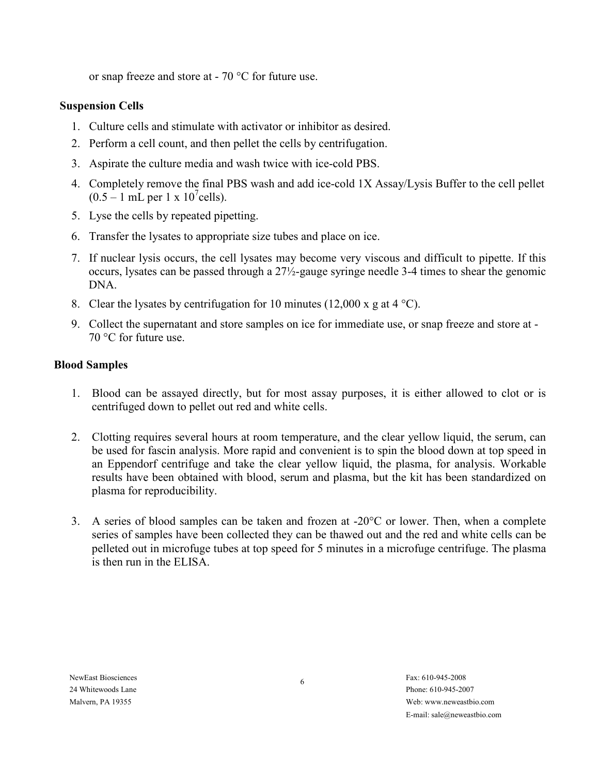or snap freeze and store at - 70 °C for future use.

### **Suspension Cells**

- 1. Culture cells and stimulate with activator or inhibitor as desired.
- 2. Perform a cell count, and then pellet the cells by centrifugation.
- 3. Aspirate the culture media and wash twice with ice-cold PBS.
- 4. Completely remove the final PBS wash and add ice-cold 1X Assay/Lysis Buffer to the cell pellet  $(0.5 - 1 \text{ mL per } 1 \times 10^7 \text{cells}).$
- 5. Lyse the cells by repeated pipetting.
- 6. Transfer the lysates to appropriate size tubes and place on ice.
- 7. If nuclear lysis occurs, the cell lysates may become very viscous and difficult to pipette. If this occurs, lysates can be passed through a 27½-gauge syringe needle 3-4 times to shear the genomic DNA.
- 8. Clear the lysates by centrifugation for 10 minutes (12,000 x g at 4  $^{\circ}$ C).
- 9. Collect the supernatant and store samples on ice for immediate use, or snap freeze and store at 70 °C for future use.

### **Blood Samples**

- 1. Blood can be assayed directly, but for most assay purposes, it is either allowed to clot or is centrifuged down to pellet out red and white cells.
- 2. Clotting requires several hours at room temperature, and the clear yellow liquid, the serum, can be used for fascin analysis. More rapid and convenient is to spin the blood down at top speed in an Eppendorf centrifuge and take the clear yellow liquid, the plasma, for analysis. Workable results have been obtained with blood, serum and plasma, but the kit has been standardized on plasma for reproducibility.
- 3. A series of blood samples can be taken and frozen at -20°C or lower. Then, when a complete series of samples have been collected they can be thawed out and the red and white cells can be pelleted out in microfuge tubes at top speed for 5 minutes in a microfuge centrifuge. The plasma is then run in the ELISA.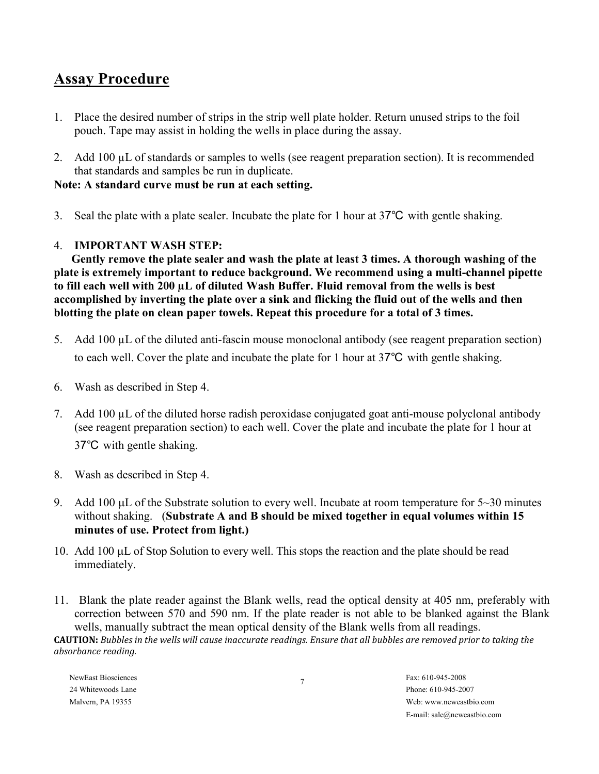## **Assay Procedure**

- 1. Place the desired number of strips in the strip well plate holder. Return unused strips to the foil pouch. Tape may assist in holding the wells in place during the assay.
- 2. Add 100 µL of standards or samples to wells (see reagent preparation section). It is recommended that standards and samples be run in duplicate.

### **Note: A standard curve must be run at each setting.**

3. Seal the plate with a plate sealer. Incubate the plate for 1 hour at 37℃ with gentle shaking.

### 4. **IMPORTANT WASH STEP:**

**Gently remove the plate sealer and wash the plate at least 3 times. A thorough washing of the plate is extremely important to reduce background. We recommend using a multi-channel pipette to fill each well with 200 µL of diluted Wash Buffer. Fluid removal from the wells is best accomplished by inverting the plate over a sink and flicking the fluid out of the wells and then blotting the plate on clean paper towels. Repeat this procedure for a total of 3 times.** 

- 5. Add 100 µL of the diluted anti-fascin mouse monoclonal antibody (see reagent preparation section) to each well. Cover the plate and incubate the plate for 1 hour at 37℃ with gentle shaking.
- 6. Wash as described in Step 4.
- 7. Add 100 µL of the diluted horse radish peroxidase conjugated goat anti-mouse polyclonal antibody (see reagent preparation section) to each well. Cover the plate and incubate the plate for 1 hour at 37℃ with gentle shaking.
- 8. Wash as described in Step 4.
- 9. Add 100  $\mu$ L of the Substrate solution to every well. Incubate at room temperature for 5~30 minutes without shaking. (**Substrate A and B should be mixed together in equal volumes within 15 minutes of use. Protect from light.)**
- 10. Add 100 µL of Stop Solution to every well. This stops the reaction and the plate should be read immediately.
- 11. Blank the plate reader against the Blank wells, read the optical density at 405 nm, preferably with correction between 570 and 590 nm. If the plate reader is not able to be blanked against the Blank wells, manually subtract the mean optical density of the Blank wells from all readings.

**CAUTION:** *Bubbles in the wells will cause inaccurate readings. Ensure that all bubbles are removed prior to taking the absorbance reading.* 

NewFast Biosciences Fax: 610-945-2008 24 Whitewoods Lane Phone: 610-945-2007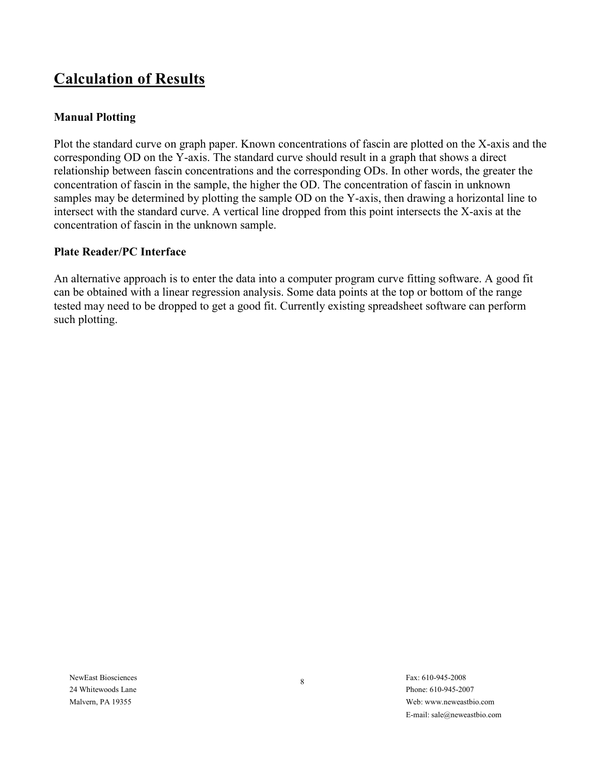# **Calculation of Results**

### **Manual Plotting**

Plot the standard curve on graph paper. Known concentrations of fascin are plotted on the X-axis and the corresponding OD on the Y-axis. The standard curve should result in a graph that shows a direct relationship between fascin concentrations and the corresponding ODs. In other words, the greater the concentration of fascin in the sample, the higher the OD. The concentration of fascin in unknown samples may be determined by plotting the sample OD on the Y-axis, then drawing a horizontal line to intersect with the standard curve. A vertical line dropped from this point intersects the X-axis at the concentration of fascin in the unknown sample.

### **Plate Reader/PC Interface**

An alternative approach is to enter the data into a computer program curve fitting software. A good fit can be obtained with a linear regression analysis. Some data points at the top or bottom of the range tested may need to be dropped to get a good fit. Currently existing spreadsheet software can perform such plotting.